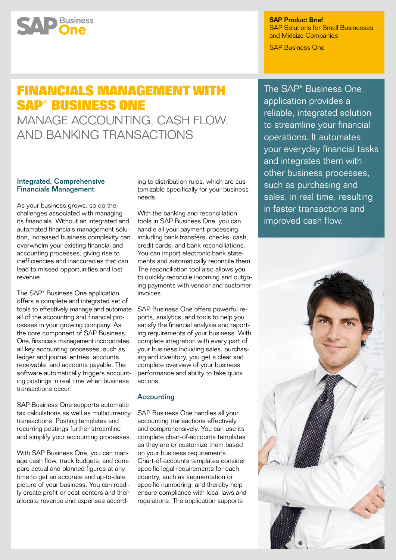# **AP** Business

SAP Product Brief SAP Solutions for Small Businesses and Midsize Companies

SAP Business One

## **Financials Management with SAP® Business One**

Manage Accounting, Cash Flow, and Banking Transactions

### Integrated, Comprehensive Financials Management

As your business grows, so do the challenges associated with managing its financials. Without an integrated and automated financials management solution, increased business complexity can overwhelm your existing financial and accounting processes, giving rise to inefficiencies and inaccuracies that can lead to missed opportunities and lost revenue.

The SAP® Business One application offers a complete and integrated set of tools to effectively manage and automate all of the accounting and financial processes in your growing company. As the core component of SAP Business One, financials management incorporates all key accounting processes, such as ledger and journal entries, accounts receivable, and accounts payable. The software automatically triggers accounting postings in real time when business transactions occur.

SAP Business One supports automatic tax calculations as well as multicurrency transactions. Posting templates and recurring postings further streamline and simplify your accounting processes.

With SAP Business One, you can manage cash flow, track budgets, and compare actual and planned figures at any time to get an accurate and up-to-date picture of your business. You can readily create profit or cost centers and then allocate revenue and expenses according to distribution rules, which are customizable specifically for your business needs.

With the banking and reconciliation tools in SAP Business One, you can handle all your payment processing, including bank transfers, checks, cash, credit cards, and bank reconciliations. You can import electronic bank statements and automatically reconcile them. The reconciliation tool also allows you to quickly reconcile incoming and outgoing payments with vendor and customer invoices.

SAP Business One offers powerful reports, analytics, and tools to help you satisfy the financial analysis and reporting requirements of your business. With complete integration with every part of your business including sales, purchasing and inventory, you get a clear and complete overview of your business performance and ability to take quick actions.

### Accounting

SAP Business One handles all your accounting transactions effectively and comprehensively. You can use its complete chart-of-accounts templates as they are or customize them based on your business requirements. Chart-of-accounts templates consider specific legal requirements for each country, such as segmentation or specific numbering, and thereby help ensure compliance with local laws and regulations. The application supports

The SAP® Business One application provides a reliable, integrated solution to streamline your financial operations. It automates your everyday financial tasks and integrates them with other business processes, such as purchasing and sales, in real time, resulting in faster transactions and improved cash flow.

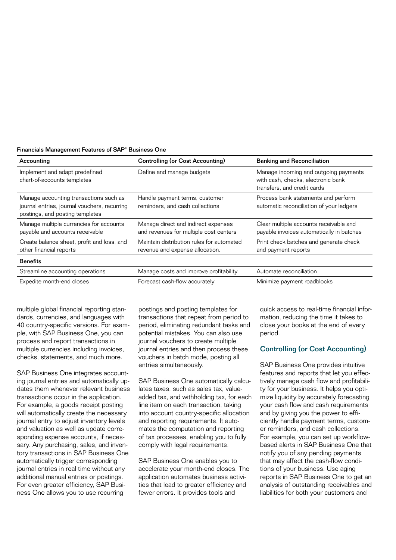| Financials Management Features of SAP <sup>®</sup> Business One |  |  |  |
|-----------------------------------------------------------------|--|--|--|
|-----------------------------------------------------------------|--|--|--|

| Accounting                                                                                                                | <b>Controlling (or Cost Accounting)</b>                                       | <b>Banking and Reconciliation</b>                                                                          |  |
|---------------------------------------------------------------------------------------------------------------------------|-------------------------------------------------------------------------------|------------------------------------------------------------------------------------------------------------|--|
| Implement and adapt predefined<br>chart-of-accounts templates                                                             | Define and manage budgets                                                     | Manage incoming and outgoing payments<br>with cash, checks, electronic bank<br>transfers, and credit cards |  |
| Manage accounting transactions such as<br>journal entries, journal vouchers, recurring<br>postings, and posting templates | Handle payment terms, customer<br>reminders, and cash collections             | Process bank statements and perform<br>automatic reconciliation of your ledgers                            |  |
| Manage multiple currencies for accounts<br>payable and accounts receivable                                                | Manage direct and indirect expenses<br>and revenues for multiple cost centers | Clear multiple accounts receivable and<br>payable invoices automatically in batches                        |  |
| Create balance sheet, profit and loss, and<br>other financial reports                                                     | Maintain distribution rules for automated<br>revenue and expense allocation.  | Print check batches and generate check<br>and payment reports                                              |  |
| <b>Benefits</b>                                                                                                           |                                                                               |                                                                                                            |  |
| Streamline accounting operations                                                                                          | Manage costs and improve profitability                                        | Automate reconciliation                                                                                    |  |
| Expedite month-end closes                                                                                                 | Forecast cash-flow accurately                                                 | Minimize payment roadblocks                                                                                |  |

multiple global financial reporting standards, currencies, and languages with 40 country-specific versions. For example, with SAP Business One, you can process and report transactions in multiple currencies including invoices, checks, statements, and much more.

SAP Business One integrates accounting journal entries and automatically updates them whenever relevant business transactions occur in the application. For example, a goods receipt posting will automatically create the necessary journal entry to adjust inventory levels and valuation as well as update corresponding expense accounts, if necessary. Any purchasing, sales, and inventory transactions in SAP Business One automatically trigger corresponding journal entries in real time without any additional manual entries or postings. For even greater efficiency, SAP Business One allows you to use recurring

postings and posting templates for transactions that repeat from period to period, eliminating redundant tasks and potential mistakes. You can also use journal vouchers to create multiple journal entries and then process these vouchers in batch mode, posting all entries simultaneously.

SAP Business One automatically calculates taxes, such as sales tax, valueadded tax, and withholding tax, for each line item on each transaction, taking into account country-specific allocation and reporting requirements. It automates the computation and reporting of tax processes, enabling you to fully comply with legal requirements.

SAP Business One enables you to accelerate your month-end closes. The application automates business activities that lead to greater efficiency and fewer errors. It provides tools and

quick access to real-time financial information, reducing the time it takes to close your books at the end of every period.

### Controlling (or Cost Accounting)

SAP Business One provides intuitive features and reports that let you effectively manage cash flow and profitability for your business. It helps you optimize liquidity by accurately forecasting your cash flow and cash requirements and by giving you the power to efficiently handle payment terms, customer reminders, and cash collections. For example, you can set up workflowbased alerts in SAP Business One that notify you of any pending payments that may affect the cash-flow conditions of your business. Use aging reports in SAP Business One to get an analysis of outstanding receivables and liabilities for both your customers and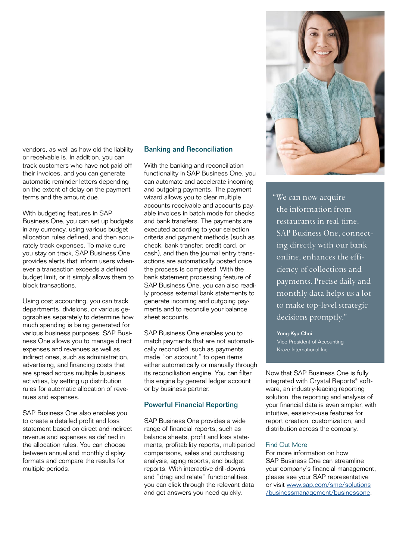vendors, as well as how old the liability or receivable is. In addition, you can track customers who have not paid off their invoices, and you can generate automatic reminder letters depending on the extent of delay on the payment terms and the amount due.

With budgeting features in SAP Business One, you can set up budgets in any currency, using various budget allocation rules defined, and then accurately track expenses. To make sure you stay on track, SAP Business One provides alerts that inform users whenever a transaction exceeds a defined budget limit, or it simply allows them to block transactions.

Using cost accounting, you can track departments, divisions, or various geographies separately to determine how much spending is being generated for various business purposes. SAP Business One allows you to manage direct expenses and revenues as well as indirect ones, such as administration, advertising, and financing costs that are spread across multiple business activities, by setting up distribution rules for automatic allocation of revenues and expenses.

SAP Business One also enables you to create a detailed profit and loss statement based on direct and indirect revenue and expenses as defined in the allocation rules. You can choose between annual and monthly display formats and compare the results for multiple periods.

### Banking and Reconciliation

With the banking and reconciliation functionality in SAP Business One, you can automate and accelerate incoming and outgoing payments. The payment wizard allows you to clear multiple accounts receivable and accounts payable invoices in batch mode for checks and bank transfers. The payments are executed according to your selection criteria and payment methods (such as check, bank transfer, credit card, or cash), and then the journal entry transactions are automatically posted once the process is completed. With the bank statement processing feature of SAP Business One, you can also readily process external bank statements to generate incoming and outgoing payments and to reconcile your balance sheet accounts.

SAP Business One enables you to match payments that are not automatically reconciled, such as payments made "on account," to open items either automatically or manually through its reconciliation engine. You can filter this engine by general ledger account or by business partner.

### Powerful Financial Reporting

SAP Business One provides a wide range of financial reports, such as balance sheets, profit and loss statements, profitability reports, multiperiod comparisons, sales and purchasing analysis, aging reports, and budget reports. With interactive drill-downs and "drag and relate" functionalities, you can click through the relevant data and get answers you need quickly.



"We can now acquire the information from restaurants in real time. SAP Business One, connecting directly with our bank online, enhances the efficiency of collections and payments. Precise daily and monthly data helps us a lot to make top-level strategic decisions promptly."

Yong-Kyu Choi Vice President of Accounting Kraze International Inc.

Now that SAP Business One is fully integrated with Crystal Reports® software, an industry-leading reporting solution, the reporting and analysis of your financial data is even simpler, with intuitive, easier-to-use features for report creation, customization, and distribution across the company.

### Find Out More

For more information on how SAP Business One can streamline your company's financial management, please see your SAP representative or visit [www.sap.com/sme/solutions](www.sap.com/sme/solutions/businessmanagement/businessone) [/businessmanagement/businessone.](www.sap.com/sme/solutions/businessmanagement/businessone)